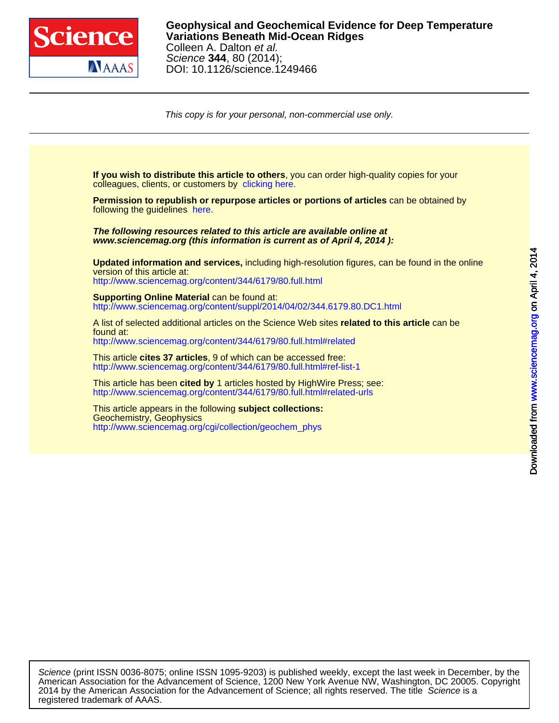

[This](http://www.sciencemag.org/) [copy is for your personal, non-commercial use only.](http://www.sciencemag.org/cgi/collection/geochem_phys)

colleagues, clients, or customers by [clicking here.](http://www.sciencemag.org/about/permissions.dtl) **If you wish to distribute this article to others**, you can order high-quality copies for your following the guidelines [here.](http://www.sciencemag.org/about/permissions.dtl) **Permission to republish or repurpose articles or portions of articles** can be obtained by **www.sciencemag.org (this information is current as of April 4, 2014 ): The following resources related to this article are available online at** <http://www.sciencemag.org/content/344/6179/80.full.html> version of this article at: **Updated information and services,** including high-resolution figures, can be found in the online [http://www.sciencemag.org/content/suppl/2014/04/02/344.6179.80.DC1.html](http://www.sciencemag.org/content/suppl/2014/04/02/344.6179.80.DC1.html )  **Supporting Online Material can be found at:** <http://www.sciencemag.org/content/344/6179/80.full.html#related> found at: A list of selected additional articles on the Science Web sites **related to this article** can be <http://www.sciencemag.org/content/344/6179/80.full.html#ref-list-1> This article **cites 37 articles**, 9 of which can be accessed free: <http://www.sciencemag.org/content/344/6179/80.full.html#related-urls> This article has been **cited by** 1 articles hosted by HighWire Press; see: [http://www.sciencemag.org/cgi/collection/geochem\\_phys](http://www.sciencemag.org/cgi/collection/geochem_phys) Geochemistry, Geophysics This article appears in the following **subject collections:**

registered trademark of AAAS. 2014 by the American Association for the Advancement of Science; all rights reserved. The title Science is a American Association for the Advancement of Science, 1200 New York Avenue NW, Washington, DC 20005. Copyright Science (print ISSN 0036-8075; online ISSN 1095-9203) is published weekly, except the last week in December, by the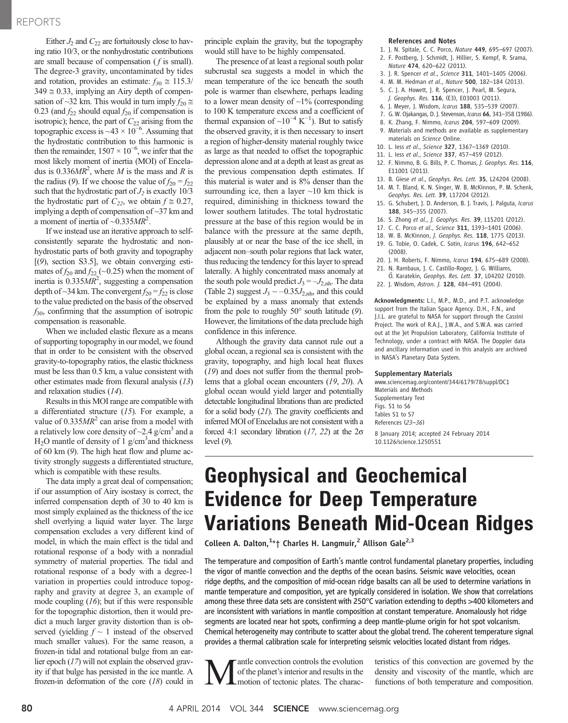# REPORTS

Either  $J_2$  and  $C_{22}$  are fortuitously close to having ratio 10/3, or the nonhydrostatic contributions are small because of compensation ( f is small). The degree-3 gravity, uncontaminated by tides and rotation, provides an estimate:  $f_{30} \approx 115.3/$  $349 \approx 0.33$ , implying an Airy depth of compensation of ~32 km. This would in turn imply  $f_{20} \approx$ 0.23 (and  $f_{22}$  should equal  $f_{20}$  if compensation is isotropic); hence, the part of  $C_{22}$  arising from the topographic excess is ~43  $\times$  10<sup>-6</sup>. Assuming that the hydrostatic contribution to this harmonic is then the remainder,  $1507 \times 10^{-6}$ , we infer that the most likely moment of inertia (MOI) of Enceladus is  $0.336MR^2$ , where M is the mass and R is the radius (9). If we choose the value of  $f_{20} = f_{22}$ such that the hydrostatic part of  $J_2$  is exactly 10/3 the hydrostatic part of  $C_{22}$ , we obtain  $f \approx 0.27$ , implying a depth of compensation of ~37 km and a moment of inertia of  $\sim 0.335MR^2$ .

If we instead use an iterative approach to selfconsistently separate the hydrostatic and nonhydrostatic parts of both gravity and topography  $[ (9)$ , section S3.5], we obtain converging estimates of  $f_{20}$  and  $f_{22}$  (~0.25) when the moment of inertia is  $0.335MR^2$ , suggesting a compensation depth of  $\sim$ 34 km. The convergent  $f_{20} = f_{22}$  is close to the value predicted on the basis of the observed  $f_{30}$ , confirming that the assumption of isotropic compensation is reasonable.

When we included elastic flexure as a means of supporting topography in our model, we found that in order to be consistent with the observed gravity-to-topography ratios, the elastic thickness must be less than 0.5 km, a value consistent with other estimates made from flexural analysis (13) and relaxation studies (14).

Results in this MOI range are compatible with a differentiated structure (15). For example, a value of  $0.335MR^2$  can arise from a model with a relatively low core density of  $\sim$ 2.4 g/cm<sup>3</sup> and a  $H<sub>2</sub>O$  mantle of density of 1 g/cm<sup>3</sup> and thickness of 60 km (9). The high heat flow and plume activity strongly suggests a differentiated structure, which is compatible with these results.

The data imply a great deal of compensation; if our assumption of Airy isostasy is correct, the inferred compensation depth of 30 to 40 km is most simply explained as the thickness of the ice shell overlying a liquid water layer. The large compensation excludes a very different kind of model, in which the main effect is the tidal and rotational response of a body with a nonradial symmetry of material properties. The tidal and rotational response of a body with a degree-1 variation in properties could introduce topography and gravity at degree 3, an example of mode coupling  $(16)$ ; but if this were responsible for the topographic distortion, then it would predict a much larger gravity distortion than is observed (yielding  $f \sim 1$  instead of the observed much smaller values). For the same reason, a frozen-in tidal and rotational bulge from an earlier epoch (17) will not explain the observed gravity if that bulge has persisted in the ice mantle. A frozen-in deformation of the core (18) could in

principle explain the gravity, but the topography would still have to be highly compensated.

The presence of at least a regional south polar subcrustal sea suggests a model in which the mean temperature of the ice beneath the south pole is warmer than elsewhere, perhaps leading to a lower mean density of  $\sim$ 1% (corresponding to 100 K temperature excess and a coefficient of thermal expansion of  $\sim 10^{-4}$  K<sup>-1</sup>). But to satisfy the observed gravity, it is then necessary to insert a region of higher-density material roughly twice as large as that needed to offset the topographic depression alone and at a depth at least as great as the previous compensation depth estimates. If this material is water and is 8% denser than the surrounding ice, then a layer  $\sim$ 10 km thick is required, diminishing in thickness toward the lower southern latitudes. The total hydrostatic pressure at the base of this region would be in balance with the pressure at the same depth, plausibly at or near the base of the ice shell, in adjacent non–south polar regions that lack water, thus reducing the tendency for this layer to spread laterally. A highly concentrated mass anomaly at the south pole would predict  $J_3 = -J_{2,\text{nh}}$ . The data (Table 2) suggest  $J_3 \sim -0.35 J_{2,\text{nh}}$ , and this could be explained by a mass anomaly that extends from the pole to roughly  $50^{\circ}$  south latitude (9). However, the limitations of the data preclude high confidence in this inference.

Although the gravity data cannot rule out a global ocean, a regional sea is consistent with the gravity, topography, and high local heat fluxes (19) and does not suffer from the thermal problems that a global ocean encounters (19, 20). A global ocean would yield larger and potentially detectable longitudinal librations than are predicted for a solid body (21). The gravity coefficients and inferred MOI of Enceladus are not consistent with a forced 4:1 secondary libration (17, 22) at the 2*s* level (9).

#### References and Notes

- 1. J. N. Spitale, C. C. Porco, Nature 449, 695–697 (2007).
- 2. F. Postberg, J. Schmidt, J. Hillier, S. Kempf, R. Srama, Nature 474, 620–622 (2011).
- 3. J. R. Spencer et al., Science 311, 1401–1405 (2006).
- 4. M. M. Hedman et al., Nature 500, 182–184 (2013).
- 5. C. J. A. Howett, J. R. Spencer, J. Pearl, M. Segura, J. Geophys. Res. 116, (E3), E03003 (2011).
- 6. J. Meyer, J. Wisdom, Icarus 188, 535–539 (2007).
- 7. G. W. Ojakangas, D. J. Stevenson, Icarus 66, 341–358 (1986).
- 8. K. Zhang, F. Nimmo, Icarus 204, 597–609 (2009).
- 9. Materials and methods are available as supplementary materials on Science Online.
- 10. L. Iess et al., Science 327, 1367–1369 (2010).
- 11. L. Iess et al., Science 337, 457–459 (2012).
- 12. F. Nimmo, B. G. Bills, P. C. Thomas, J. Geophys. Res. 116, E11001 (2011).
- 13. B. Giese et al., Geophys. Res. Lett. 35, L24204 (2008). 14. M. T. Bland, K. N. Singer, W. B. McKinnon, P. M. Schenk,
- Geophys. Res. Lett. 39, L17204 (2012). 15. G. Schubert, J. D. Anderson, B. J. Travis, J. Palguta, Icarus
- 188, 345–355 (2007).
- 16. S. Zhong et al., J. Geophys. Res. 39, L15201 (2012).
- 17. C. C. Porco et al., Science 311, 1393–1401 (2006).
- 18. W. B. McKinnon, J. Geophys. Res. 118, 1775 (2013).
- 19. G. Tobie, O. Cadek, C. Sotin, Icarus 196, 642–652 (2008).
- 20. J. H. Roberts, F. Nimmo, Icarus 194, 675–689 (2008). 21. N. Rambaux, J. C. Castillo-Rogez, J. G. Williams,
- Ö. Karatekin, Geophys. Res. Lett. 37, L04202 (2010). 22. J. Wisdom, Astron. J. 128, 484–491 (2004).

Acknowledgments: L.I., M.P., M.D., and P.T. acknowledge support from the Italian Space Agency. D.H., F.N., and J.I.L. are grateful to NASA for support through the Cassini Project. The work of R.A.J., J.W.A., and S.W.A. was carried out at the Jet Propulsion Laboratory, California Institute of Technology, under a contract with NASA. The Doppler data and ancillary information used in this analysis are archived in NASA's Planetary Data System.

## Supplementary Materials

www.sciencemag.org/content/344/6179/78/suppl/DC1 Materials and Methods Supplementary Text Figs. S1 to S6 Tables S1 to S7 References (23*–*36)

8 January 2014; accepted 24 February 2014 10.1126/science.1250551

# Geophysical and Geochemical Evidence for Deep Temperature Variations Beneath Mid-Ocean Ridges

Colleen A. Dalton,<sup>1\*</sup>† Charles H. Langmuir,<sup>2</sup> Allison Gale<sup>2,3</sup>

The temperature and composition of Earth's mantle control fundamental planetary properties, including the vigor of mantle convection and the depths of the ocean basins. Seismic wave velocities, ocean ridge depths, and the composition of mid-ocean ridge basalts can all be used to determine variations in mantle temperature and composition, yet are typically considered in isolation. We show that correlations among these three data sets are consistent with 250°C variation extending to depths >400 kilometers and are inconsistent with variations in mantle composition at constant temperature. Anomalously hot ridge segments are located near hot spots, confirming a deep mantle-plume origin for hot spot volcanism. Chemical heterogeneity may contribute to scatter about the global trend. The coherent temperature signal provides a thermal calibration scale for interpreting seismic velocities located distant from ridges.

**M**antle convection controls the evolution of the planet's interior and results in the motion of tectonic plates. The characof the planet's interior and results in the motion of tectonic plates. The characteristics of this convection are governed by the density and viscosity of the mantle, which are functions of both temperature and composition.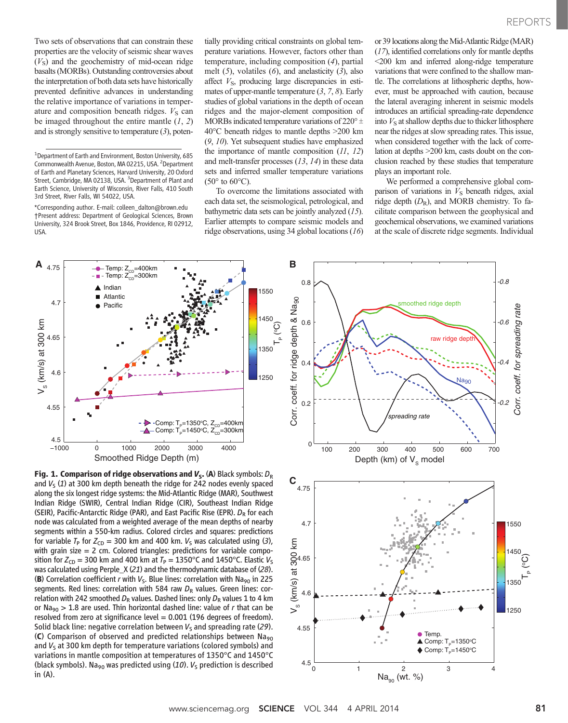Two sets of observations that can constrain these properties are the velocity of seismic shear waves  $(V<sub>S</sub>)$  and the geochemistry of mid-ocean ridge basalts (MORBs). Outstanding controversies about the interpretation of both data sets have historically prevented definitive advances in understanding the relative importance of variations in temperature and composition beneath ridges.  $V<sub>S</sub>$  can be imaged throughout the entire mantle  $(1, 2)$ and is strongly sensitive to temperature  $(3)$ , poten-

\*Corresponding author. E-mail: colleen\_dalton@brown.edu †Present address: Department of Geological Sciences, Brown University, 324 Brook Street, Box 1846, Providence, RI 02912, USA.

tially providing critical constraints on global temperature variations. However, factors other than temperature, including composition (4), partial melt  $(5)$ , volatiles  $(6)$ , and anelasticity  $(3)$ , also affect  $V_{\rm S}$ , producing large discrepancies in estimates of upper-mantle temperature  $(3, 7, 8)$ . Early studies of global variations in the depth of ocean ridges and the major-element composition of MORBs indicated temperature variations of  $220^{\circ}$   $\pm$ 40°C beneath ridges to mantle depths >200 km (9, 10). Yet subsequent studies have emphasized the importance of mantle composition  $(11, 12)$ and melt-transfer processes (13, 14) in these data sets and inferred smaller temperature variations  $(50^{\circ}$  to  $60^{\circ}$ C).

To overcome the limitations associated with each data set, the seismological, petrological, and bathymetric data sets can be jointly analyzed (15). Earlier attempts to compare seismic models and ridge observations, using 34 global locations (16) or 39 locations along the Mid-Atlantic Ridge (MAR) (17), identified correlations only for mantle depths <200 km and inferred along-ridge temperature variations that were confined to the shallow mantle. The correlations at lithospheric depths, however, must be approached with caution, because the lateral averaging inherent in seismic models introduces an artificial spreading-rate dependence into  $V<sub>S</sub>$  at shallow depths due to thicker lithosphere near the ridges at slow spreading rates. This issue, when considered together with the lack of correlation at depths >200 km, casts doubt on the conclusion reached by these studies that temperature plays an important role.

We performed a comprehensive global comparison of variations in  $V<sub>S</sub>$  beneath ridges, axial ridge depth  $(D_R)$ , and MORB chemistry. To facilitate comparison between the geophysical and geochemical observations, we examined variations at the scale of discrete ridge segments. Individual



**Fig. 1. Comparison of ridge observations and**  $V_s$ **. (A)** Black symbols:  $D_R$ <br>and  $V_s$  (1) at 300 km denth beneath the ridge for 242 nodes evenly spaced  $C$ and  $V_5$  (1) at 300 km depth beneath the ridge for 242 nodes evenly spaced along the six longest ridge systems: the Mid-Atlantic Ridge (MAR), Southwest Indian Ridge (SWIR), Central Indian Ridge (CIR), Southeast Indian Ridge (SEIR), Pacific-Antarctic Ridge (PAR), and East Pacific Rise (EPR).  $D_R$  for each node was calculated from a weighted average of the mean depths of nearby segments within a 550-km radius. Colored circles and squares: predictions for variable  $T_{\rm P}$  for  $Z_{\rm CD}$  = 300 km and 400 km.  $V_{\rm S}$  was calculated using (3), with grain size  $= 2$  cm. Colored triangles: predictions for variable composition for  $Z_{CD}$  = 300 km and 400 km at  $T_P$  = 1350°C and 1450°C. Elastic  $V_S$ was calculated using Perple\_X (21) and the thermodynamic database of (28). (B) Correlation coefficient r with  $V_s$ . Blue lines: correlation with Na<sub>90</sub> in 225 segments. Red lines: correlation with 584 raw  $D_R$  values. Green lines: correlation with 242 smoothed  $D_R$  values. Dashed lines: only  $D_R$  values 1 to 4 km or Na<sub>90</sub> > 1.8 are used. Thin horizontal dashed line: value of *r* that can be resolved from zero at significance level = 0.001 (196 degrees of freedom). Solid black line: negative correlation between  $V<sub>S</sub>$  and spreading rate (29). (C) Comparison of observed and predicted relationships between Na<sub>90</sub> and  $V<sub>S</sub>$  at 300 km depth for temperature variations (colored symbols) and variations in mantle composition at temperatures of 1350°C and 1450°C (black symbols). Na<sub>90</sub> was predicted using (10).  $V_5$  prediction is described in (A).



<sup>&</sup>lt;sup>1</sup>Department of Earth and Environment, Boston University, 685 Commonwealth Avenue, Boston, MA 02215, USA. <sup>2</sup>Department of Earth and Planetary Sciences, Harvard University, 20 Oxford Street, Cambridge, MA 02138, USA. <sup>3</sup>Department of Plant and Earth Science, University of Wisconsin, River Falls, 410 South 3rd Street, River Falls, WI 54022, USA.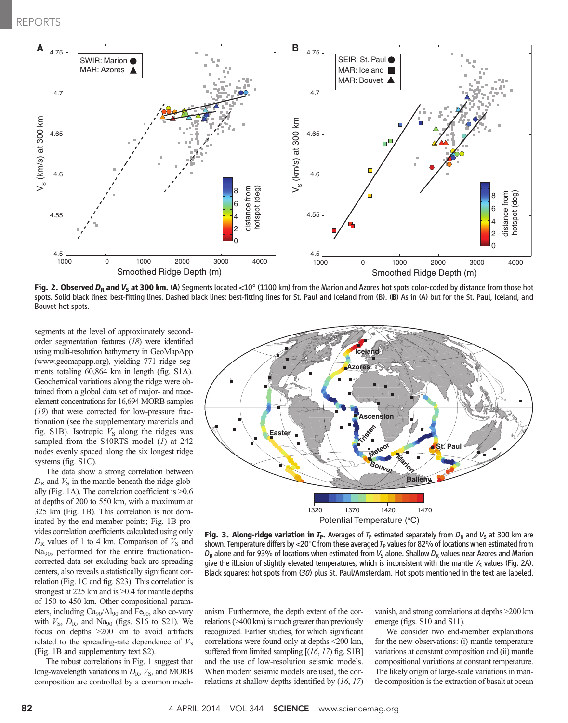

Fig. 2. Observed  $D_R$  and  $V_S$  at 300 km. (A) Segments located <10° (1100 km) from the Marion and Azores hot spots color-coded by distance from those hot spots. Solid black lines: best-fitting lines. Dashed black lines: best-fitting lines for St. Paul and Iceland from (B). (B) As in (A) but for the St. Paul, Iceland, and Bouvet hot spots.

segments at the level of approximately secondorder segmentation features (18) were identified using multi-resolution bathymetry in GeoMapApp (www.geomapapp.org), yielding 771 ridge segments totaling 60,864 km in length (fig. S1A). Geochemical variations along the ridge were obtained from a global data set of major- and traceelement concentrations for 16,694 MORB samples (19) that were corrected for low-pressure fractionation (see the supplementary materials and fig. S1B). Isotropic  $V<sub>S</sub>$  along the ridges was sampled from the S40RTS model  $(I)$  at 242 nodes evenly spaced along the six longest ridge systems (fig. S1C).

The data show a strong correlation between  $D_{\rm R}$  and  $V_{\rm S}$  in the mantle beneath the ridge globally (Fig. 1A). The correlation coefficient is >0.6 at depths of 200 to 550 km, with a maximum at 325 km (Fig. 1B). This correlation is not dominated by the end-member points; Fig. 1B provides correlation coefficients calculated using only  $D_{\rm R}$  values of 1 to 4 km. Comparison of  $V_{\rm S}$  and Na<sub>90</sub>, performed for the entire fractionationcorrected data set excluding back-arc spreading centers, also reveals a statistically significant correlation (Fig. 1C and fig. S23). This correlation is strongest at 225 km and is  $>0.4$  for mantle depths of 150 to 450 km. Other compositional parameters, including  $Ca<sub>90</sub>/Al<sub>90</sub>$  and Fe<sub>90</sub>, also co-vary with  $V_{\rm S}$ ,  $D_{\rm R}$ , and Na<sub>90</sub> (figs. S16 to S21). We focus on depths >200 km to avoid artifacts related to the spreading-rate dependence of  $V<sub>S</sub>$ (Fig. 1B and supplementary text S2).

The robust correlations in Fig. 1 suggest that long-wavelength variations in  $D_R$ ,  $V_S$ , and MORB composition are controlled by a common mech-



**Fig. 3. Along-ridge variation in T<sub>P</sub>.** Averages of T<sub>P</sub> estimated separately from  $D_R$  and  $V_S$  at 300 km are shown. Temperature differs by  $\langle 20^\circ \mathsf{C}$  from these averaged  $T_P$  values for 82% of locations when estimated from  $D_R$  alone and for 93% of locations when estimated from  $V_S$  alone. Shallow  $D_R$  values near Azores and Marion give the illusion of slightly elevated temperatures, which is inconsistent with the mantle  $V<sub>S</sub>$  values (Fig. 2A). Black squares: hot spots from (30) plus St. Paul/Amsterdam. Hot spots mentioned in the text are labeled.

anism. Furthermore, the depth extent of the correlations (>400 km) is much greater than previously recognized. Earlier studies, for which significant correlations were found only at depths <200 km, suffered from limited sampling  $[(16, 17)$  fig. S1B] and the use of low-resolution seismic models. When modern seismic models are used, the correlations at shallow depths identified by (16, 17)

vanish, and strong correlations at depths >200 km emerge (figs. S10 and S11).

We consider two end-member explanations for the new observations: (i) mantle temperature variations at constant composition and (ii) mantle compositional variations at constant temperature. The likely origin of large-scale variations in mantle composition is the extraction of basalt at ocean